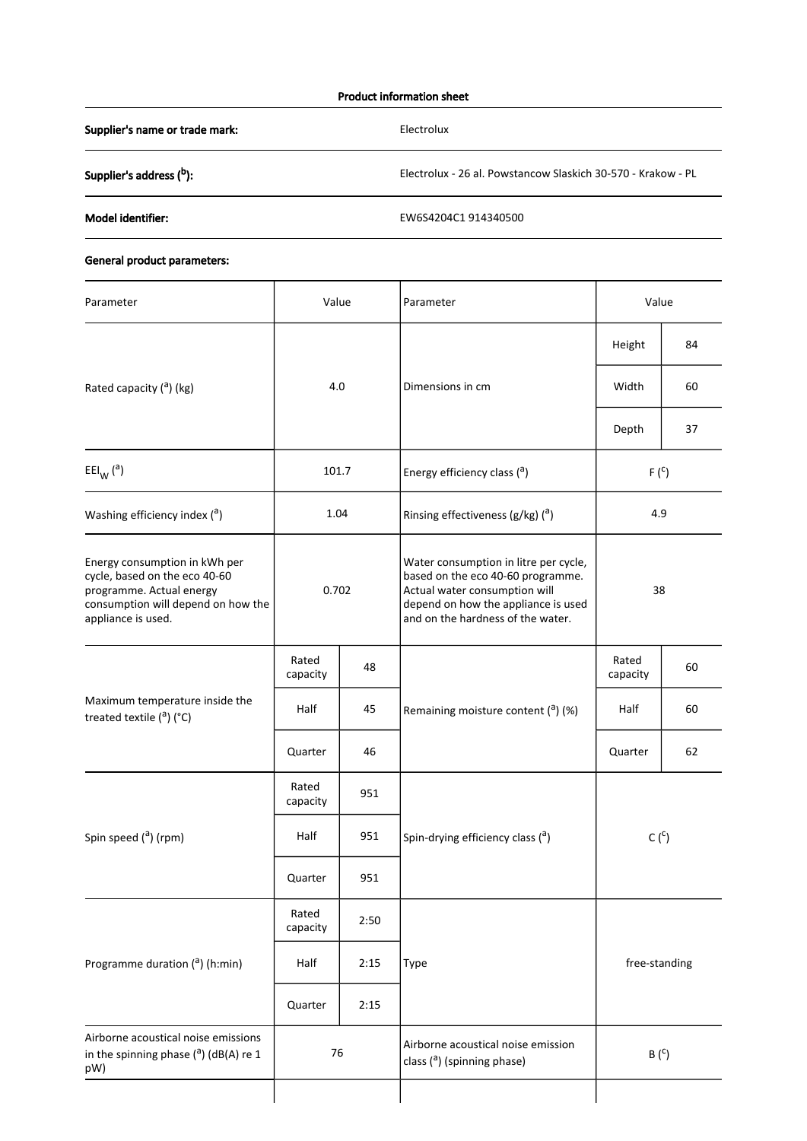## Product information sheet

Supplier's name or trade mark: Electrolux

Supplier's address (<sup>b</sup>): **b Electrolux - 26 al. Powstancow Slaskich 30-570 - Krakow - PL** 

Model identifier: EW6S4204C1 914340500

## General product parameters:

| Parameter                                                                                                                                              | Value             |      | Parameter                                                                                                                                                                               | Value             |    |
|--------------------------------------------------------------------------------------------------------------------------------------------------------|-------------------|------|-----------------------------------------------------------------------------------------------------------------------------------------------------------------------------------------|-------------------|----|
|                                                                                                                                                        |                   |      |                                                                                                                                                                                         | Height            | 84 |
| Rated capacity $($ <sup>a</sup> ) (kg)                                                                                                                 | 4.0               |      | Dimensions in cm                                                                                                                                                                        | Width             | 60 |
|                                                                                                                                                        |                   |      |                                                                                                                                                                                         | Depth             | 37 |
| $EEl_{W} (a)$                                                                                                                                          | 101.7             |      | Energy efficiency class (a)                                                                                                                                                             | $F(^{C})$         |    |
| Washing efficiency index $(3)$                                                                                                                         | 1.04              |      | Rinsing effectiveness ( $g/kg$ ) ( $a$ )                                                                                                                                                | 4.9               |    |
| Energy consumption in kWh per<br>cycle, based on the eco 40-60<br>programme. Actual energy<br>consumption will depend on how the<br>appliance is used. | 0.702             |      | Water consumption in litre per cycle,<br>based on the eco 40-60 programme.<br>Actual water consumption will<br>depend on how the appliance is used<br>and on the hardness of the water. | 38                |    |
| Maximum temperature inside the<br>treated textile $(^a)$ (°C)                                                                                          | Rated<br>capacity | 48   | Remaining moisture content $(2)$ (%)                                                                                                                                                    | Rated<br>capacity | 60 |
|                                                                                                                                                        | Half              | 45   |                                                                                                                                                                                         | Half              | 60 |
|                                                                                                                                                        | Quarter           | 46   |                                                                                                                                                                                         | Quarter           | 62 |
| Spin speed ( <sup>a</sup> ) (rpm)                                                                                                                      | Rated<br>capacity | 951  |                                                                                                                                                                                         | $C(^c)$           |    |
|                                                                                                                                                        | Half              | 951  | Spin-drying efficiency class (a)                                                                                                                                                        |                   |    |
|                                                                                                                                                        | Quarter           | 951  |                                                                                                                                                                                         |                   |    |
| Programme duration ( <sup>a</sup> ) (h:min)                                                                                                            | Rated<br>capacity | 2:50 |                                                                                                                                                                                         | free-standing     |    |
|                                                                                                                                                        | Half              | 2:15 | Type                                                                                                                                                                                    |                   |    |
|                                                                                                                                                        | Quarter           | 2:15 |                                                                                                                                                                                         |                   |    |
| Airborne acoustical noise emissions<br>in the spinning phase $($ <sup>a</sup> ) (dB(A) re 1<br>pW)                                                     | 76                |      | Airborne acoustical noise emission<br>class ( <sup>a</sup> ) (spinning phase)                                                                                                           | $B(^c)$           |    |
|                                                                                                                                                        |                   |      |                                                                                                                                                                                         |                   |    |